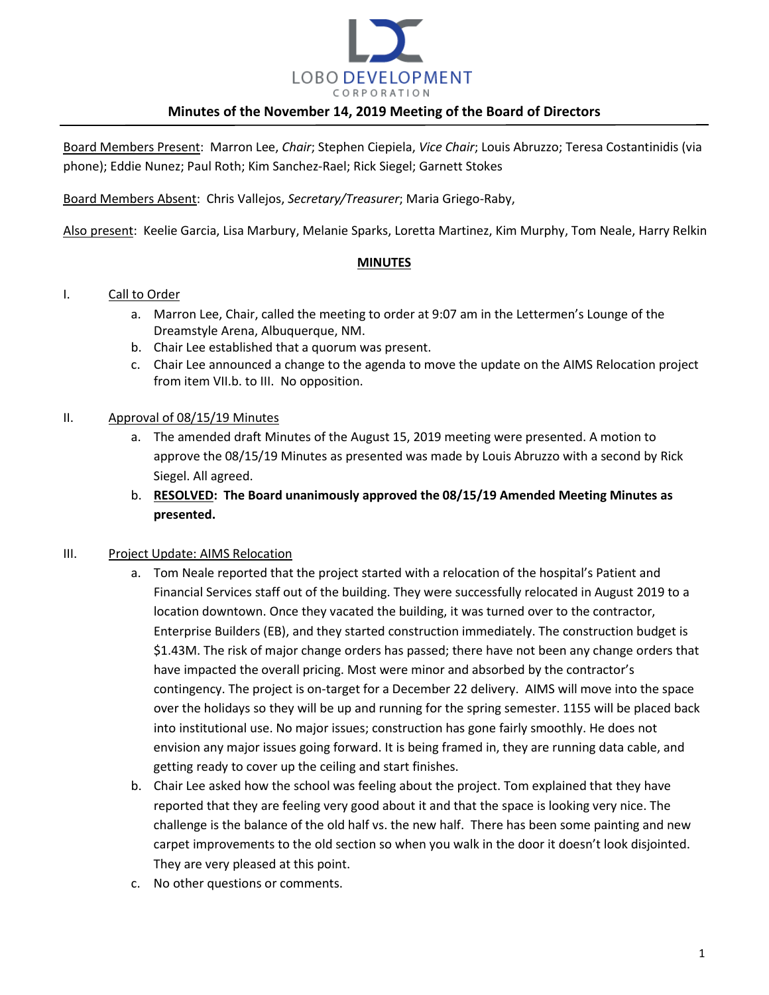

Board Members Present: Marron Lee, *Chair*; Stephen Ciepiela, *Vice Chair*; Louis Abruzzo; Teresa Costantinidis (via phone); Eddie Nunez; Paul Roth; Kim Sanchez-Rael; Rick Siegel; Garnett Stokes

Board Members Absent: Chris Vallejos, *Secretary/Treasurer*; Maria Griego-Raby,

Also present: Keelie Garcia, Lisa Marbury, Melanie Sparks, Loretta Martinez, Kim Murphy, Tom Neale, Harry Relkin

#### **MINUTES**

#### I. Call to Order

- a. Marron Lee, Chair, called the meeting to order at 9:07 am in the Lettermen's Lounge of the Dreamstyle Arena, Albuquerque, NM.
- b. Chair Lee established that a quorum was present.
- c. Chair Lee announced a change to the agenda to move the update on the AIMS Relocation project from item VII.b. to III. No opposition.

#### II. Approval of 08/15/19 Minutes

- a. The amended draft Minutes of the August 15, 2019 meeting were presented. A motion to approve the 08/15/19 Minutes as presented was made by Louis Abruzzo with a second by Rick Siegel. All agreed.
- b. **RESOLVED: The Board unanimously approved the 08/15/19 Amended Meeting Minutes as presented.**

## III. Project Update: AIMS Relocation

- a. Tom Neale reported that the project started with a relocation of the hospital's Patient and Financial Services staff out of the building. They were successfully relocated in August 2019 to a location downtown. Once they vacated the building, it was turned over to the contractor, Enterprise Builders (EB), and they started construction immediately. The construction budget is \$1.43M. The risk of major change orders has passed; there have not been any change orders that have impacted the overall pricing. Most were minor and absorbed by the contractor's contingency. The project is on-target for a December 22 delivery. AIMS will move into the space over the holidays so they will be up and running for the spring semester. 1155 will be placed back into institutional use. No major issues; construction has gone fairly smoothly. He does not envision any major issues going forward. It is being framed in, they are running data cable, and getting ready to cover up the ceiling and start finishes.
- b. Chair Lee asked how the school was feeling about the project. Tom explained that they have reported that they are feeling very good about it and that the space is looking very nice. The challenge is the balance of the old half vs. the new half. There has been some painting and new carpet improvements to the old section so when you walk in the door it doesn't look disjointed. They are very pleased at this point.
- c. No other questions or comments.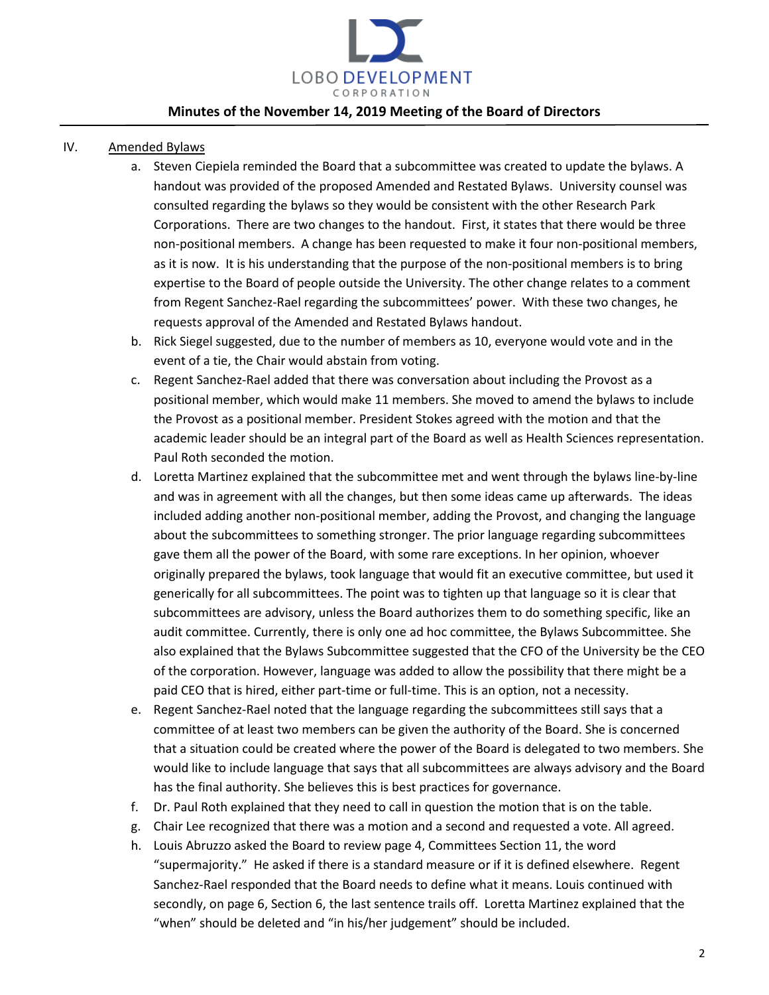

- IV. Amended Bylaws
	- a. Steven Ciepiela reminded the Board that a subcommittee was created to update the bylaws. A handout was provided of the proposed Amended and Restated Bylaws. University counsel was consulted regarding the bylaws so they would be consistent with the other Research Park Corporations. There are two changes to the handout. First, it states that there would be three non-positional members. A change has been requested to make it four non-positional members, as it is now. It is his understanding that the purpose of the non-positional members is to bring expertise to the Board of people outside the University. The other change relates to a comment from Regent Sanchez-Rael regarding the subcommittees' power. With these two changes, he requests approval of the Amended and Restated Bylaws handout.
	- b. Rick Siegel suggested, due to the number of members as 10, everyone would vote and in the event of a tie, the Chair would abstain from voting.
	- c. Regent Sanchez-Rael added that there was conversation about including the Provost as a positional member, which would make 11 members. She moved to amend the bylaws to include the Provost as a positional member. President Stokes agreed with the motion and that the academic leader should be an integral part of the Board as well as Health Sciences representation. Paul Roth seconded the motion.
	- d. Loretta Martinez explained that the subcommittee met and went through the bylaws line-by-line and was in agreement with all the changes, but then some ideas came up afterwards. The ideas included adding another non-positional member, adding the Provost, and changing the language about the subcommittees to something stronger. The prior language regarding subcommittees gave them all the power of the Board, with some rare exceptions. In her opinion, whoever originally prepared the bylaws, took language that would fit an executive committee, but used it generically for all subcommittees. The point was to tighten up that language so it is clear that subcommittees are advisory, unless the Board authorizes them to do something specific, like an audit committee. Currently, there is only one ad hoc committee, the Bylaws Subcommittee. She also explained that the Bylaws Subcommittee suggested that the CFO of the University be the CEO of the corporation. However, language was added to allow the possibility that there might be a paid CEO that is hired, either part-time or full-time. This is an option, not a necessity.
	- e. Regent Sanchez-Rael noted that the language regarding the subcommittees still says that a committee of at least two members can be given the authority of the Board. She is concerned that a situation could be created where the power of the Board is delegated to two members. She would like to include language that says that all subcommittees are always advisory and the Board has the final authority. She believes this is best practices for governance.
	- f. Dr. Paul Roth explained that they need to call in question the motion that is on the table.
	- g. Chair Lee recognized that there was a motion and a second and requested a vote. All agreed.
	- h. Louis Abruzzo asked the Board to review page 4, Committees Section 11, the word "supermajority." He asked if there is a standard measure or if it is defined elsewhere. Regent Sanchez-Rael responded that the Board needs to define what it means. Louis continued with secondly, on page 6, Section 6, the last sentence trails off. Loretta Martinez explained that the "when" should be deleted and "in his/her judgement" should be included.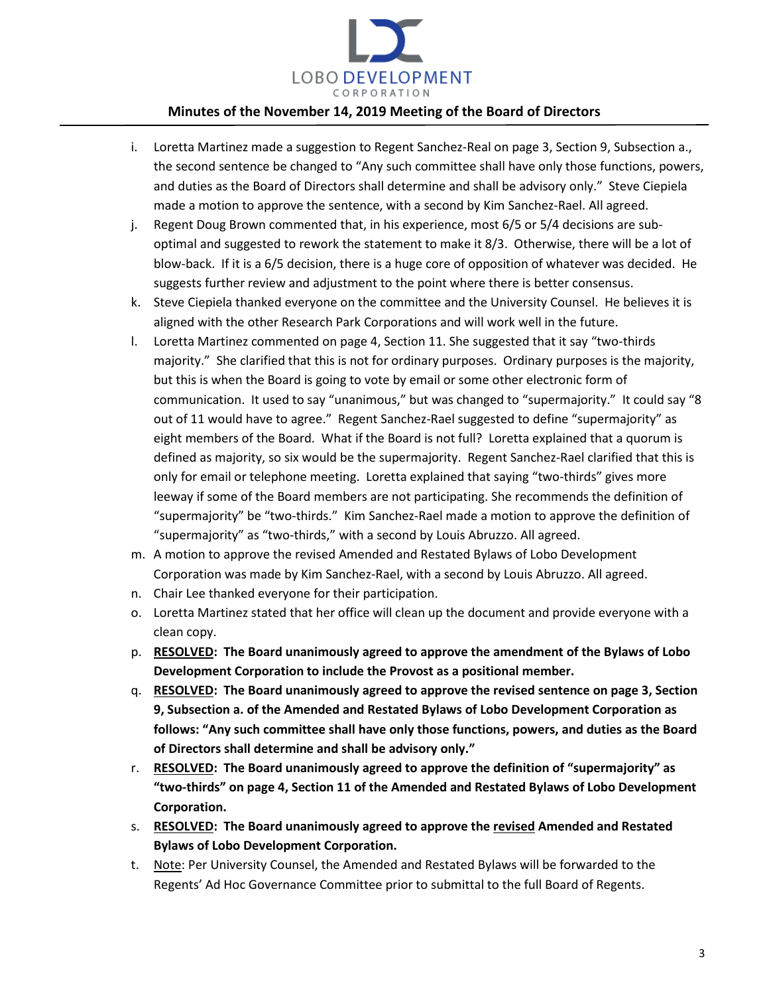

- i. Loretta Martinez made a suggestion to Regent Sanchez-Real on page 3, Section 9, Subsection a., the second sentence be changed to "Any such committee shall have only those functions, powers, and duties as the Board of Directors shall determine and shall be advisory only." Steve Ciepiela made a motion to approve the sentence, with a second by Kim Sanchez-Rael. All agreed.
- j. Regent Doug Brown commented that, in his experience, most 6/5 or 5/4 decisions are suboptimal and suggested to rework the statement to make it 8/3. Otherwise, there will be a lot of blow-back. If it is a 6/5 decision, there is a huge core of opposition of whatever was decided. He suggests further review and adjustment to the point where there is better consensus.
- k. Steve Ciepiela thanked everyone on the committee and the University Counsel. He believes it is aligned with the other Research Park Corporations and will work well in the future.
- l. Loretta Martinez commented on page 4, Section 11. She suggested that it say "two-thirds majority." She clarified that this is not for ordinary purposes. Ordinary purposes is the majority, but this is when the Board is going to vote by email or some other electronic form of communication. It used to say "unanimous," but was changed to "supermajority." It could say "8 out of 11 would have to agree." Regent Sanchez-Rael suggested to define "supermajority" as eight members of the Board. What if the Board is not full? Loretta explained that a quorum is defined as majority, so six would be the supermajority. Regent Sanchez-Rael clarified that this is only for email or telephone meeting. Loretta explained that saying "two-thirds" gives more leeway if some of the Board members are not participating. She recommends the definition of "supermajority" be "two-thirds." Kim Sanchez-Rael made a motion to approve the definition of "supermajority" as "two-thirds," with a second by Louis Abruzzo. All agreed.
- m. A motion to approve the revised Amended and Restated Bylaws of Lobo Development Corporation was made by Kim Sanchez-Rael, with a second by Louis Abruzzo. All agreed.
- n. Chair Lee thanked everyone for their participation.
- o. Loretta Martinez stated that her office will clean up the document and provide everyone with a clean copy.
- p. **RESOLVED: The Board unanimously agreed to approve the amendment of the Bylaws of Lobo Development Corporation to include the Provost as a positional member.**
- q. **RESOLVED: The Board unanimously agreed to approve the revised sentence on page 3, Section 9, Subsection a. of the Amended and Restated Bylaws of Lobo Development Corporation as follows: "Any such committee shall have only those functions, powers, and duties as the Board of Directors shall determine and shall be advisory only."**
- r. **RESOLVED: The Board unanimously agreed to approve the definition of "supermajority" as "two-thirds" on page 4, Section 11 of the Amended and Restated Bylaws of Lobo Development Corporation.**
- s. **RESOLVED: The Board unanimously agreed to approve the revised Amended and Restated Bylaws of Lobo Development Corporation.**
- t. Note: Per University Counsel, the Amended and Restated Bylaws will be forwarded to the Regents' Ad Hoc Governance Committee prior to submittal to the full Board of Regents.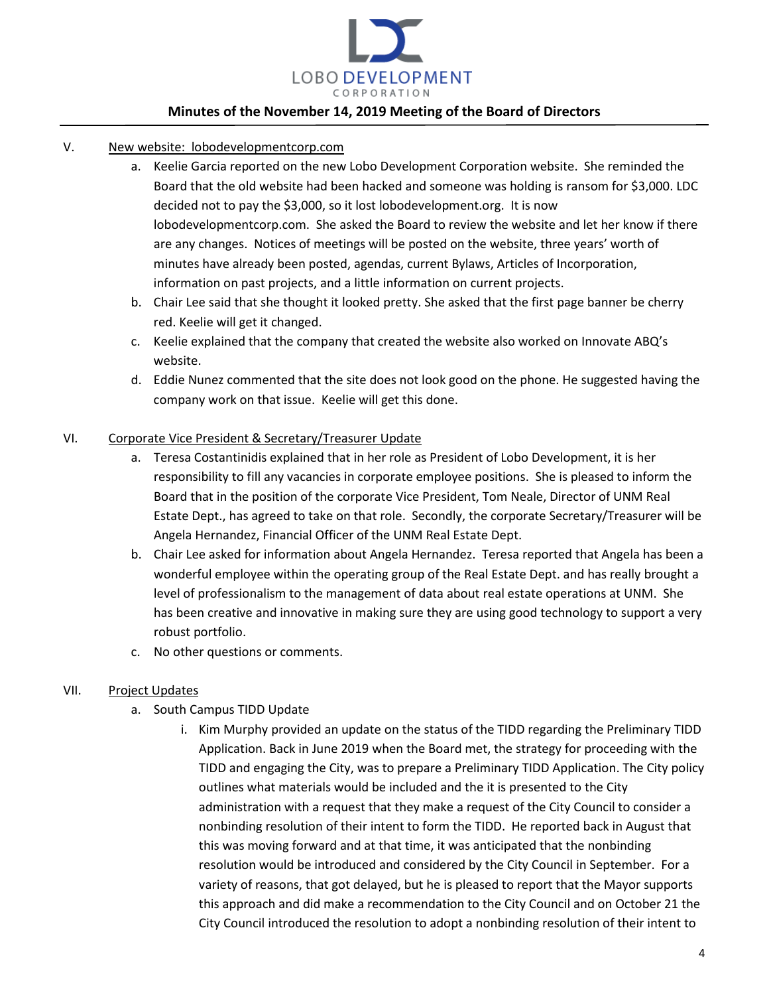

- V. New website: lobodevelopmentcorp.com
	- a. Keelie Garcia reported on the new Lobo Development Corporation website. She reminded the Board that the old website had been hacked and someone was holding is ransom for \$3,000. LDC decided not to pay the \$3,000, so it lost lobodevelopment.org. It is now lobodevelopmentcorp.com. She asked the Board to review the website and let her know if there are any changes. Notices of meetings will be posted on the website, three years' worth of minutes have already been posted, agendas, current Bylaws, Articles of Incorporation, information on past projects, and a little information on current projects.
	- b. Chair Lee said that she thought it looked pretty. She asked that the first page banner be cherry red. Keelie will get it changed.
	- c. Keelie explained that the company that created the website also worked on Innovate ABQ's website.
	- d. Eddie Nunez commented that the site does not look good on the phone. He suggested having the company work on that issue. Keelie will get this done.

### VI. Corporate Vice President & Secretary/Treasurer Update

- a. Teresa Costantinidis explained that in her role as President of Lobo Development, it is her responsibility to fill any vacancies in corporate employee positions. She is pleased to inform the Board that in the position of the corporate Vice President, Tom Neale, Director of UNM Real Estate Dept., has agreed to take on that role. Secondly, the corporate Secretary/Treasurer will be Angela Hernandez, Financial Officer of the UNM Real Estate Dept.
- b. Chair Lee asked for information about Angela Hernandez. Teresa reported that Angela has been a wonderful employee within the operating group of the Real Estate Dept. and has really brought a level of professionalism to the management of data about real estate operations at UNM. She has been creative and innovative in making sure they are using good technology to support a very robust portfolio.
- c. No other questions or comments.

### VII. Project Updates

- a. South Campus TIDD Update
	- i. Kim Murphy provided an update on the status of the TIDD regarding the Preliminary TIDD Application. Back in June 2019 when the Board met, the strategy for proceeding with the TIDD and engaging the City, was to prepare a Preliminary TIDD Application. The City policy outlines what materials would be included and the it is presented to the City administration with a request that they make a request of the City Council to consider a nonbinding resolution of their intent to form the TIDD. He reported back in August that this was moving forward and at that time, it was anticipated that the nonbinding resolution would be introduced and considered by the City Council in September. For a variety of reasons, that got delayed, but he is pleased to report that the Mayor supports this approach and did make a recommendation to the City Council and on October 21 the City Council introduced the resolution to adopt a nonbinding resolution of their intent to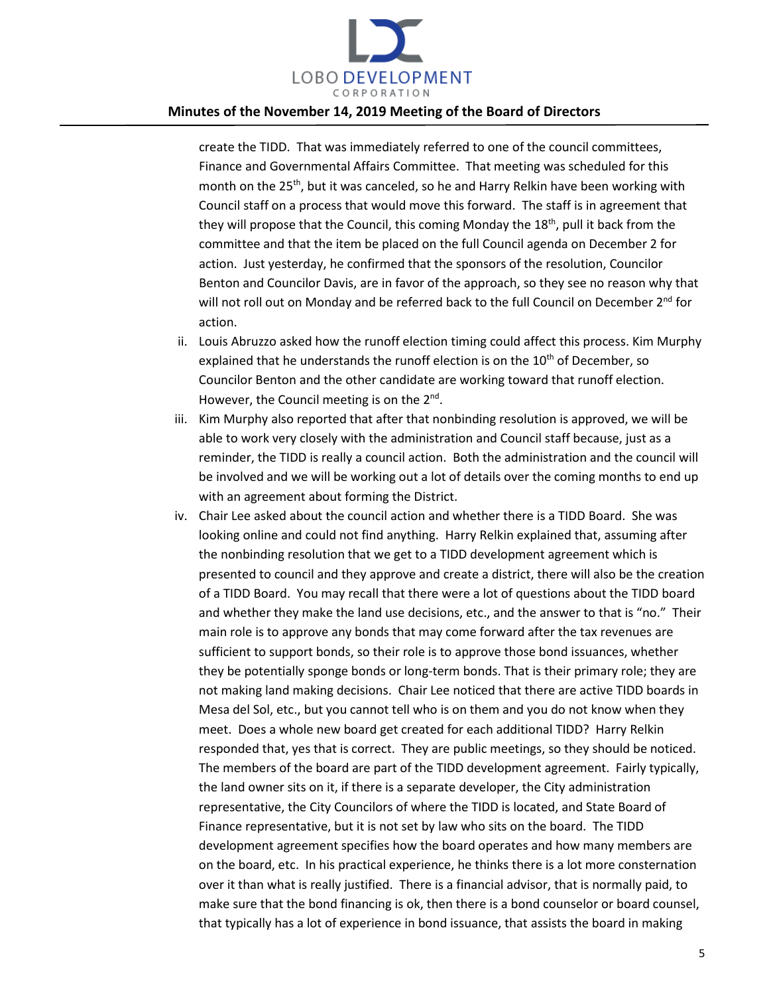

create the TIDD. That was immediately referred to one of the council committees, Finance and Governmental Affairs Committee. That meeting was scheduled for this month on the 25<sup>th</sup>, but it was canceled, so he and Harry Relkin have been working with Council staff on a process that would move this forward. The staff is in agreement that they will propose that the Council, this coming Monday the  $18<sup>th</sup>$ , pull it back from the committee and that the item be placed on the full Council agenda on December 2 for action. Just yesterday, he confirmed that the sponsors of the resolution, Councilor Benton and Councilor Davis, are in favor of the approach, so they see no reason why that will not roll out on Monday and be referred back to the full Council on December 2<sup>nd</sup> for action.

- ii. Louis Abruzzo asked how the runoff election timing could affect this process. Kim Murphy explained that he understands the runoff election is on the  $10<sup>th</sup>$  of December, so Councilor Benton and the other candidate are working toward that runoff election. However, the Council meeting is on the  $2^{nd}$ .
- iii. Kim Murphy also reported that after that nonbinding resolution is approved, we will be able to work very closely with the administration and Council staff because, just as a reminder, the TIDD is really a council action. Both the administration and the council will be involved and we will be working out a lot of details over the coming months to end up with an agreement about forming the District.
- iv. Chair Lee asked about the council action and whether there is a TIDD Board. She was looking online and could not find anything. Harry Relkin explained that, assuming after the nonbinding resolution that we get to a TIDD development agreement which is presented to council and they approve and create a district, there will also be the creation of a TIDD Board. You may recall that there were a lot of questions about the TIDD board and whether they make the land use decisions, etc., and the answer to that is "no." Their main role is to approve any bonds that may come forward after the tax revenues are sufficient to support bonds, so their role is to approve those bond issuances, whether they be potentially sponge bonds or long-term bonds. That is their primary role; they are not making land making decisions. Chair Lee noticed that there are active TIDD boards in Mesa del Sol, etc., but you cannot tell who is on them and you do not know when they meet. Does a whole new board get created for each additional TIDD? Harry Relkin responded that, yes that is correct. They are public meetings, so they should be noticed. The members of the board are part of the TIDD development agreement. Fairly typically, the land owner sits on it, if there is a separate developer, the City administration representative, the City Councilors of where the TIDD is located, and State Board of Finance representative, but it is not set by law who sits on the board. The TIDD development agreement specifies how the board operates and how many members are on the board, etc. In his practical experience, he thinks there is a lot more consternation over it than what is really justified. There is a financial advisor, that is normally paid, to make sure that the bond financing is ok, then there is a bond counselor or board counsel, that typically has a lot of experience in bond issuance, that assists the board in making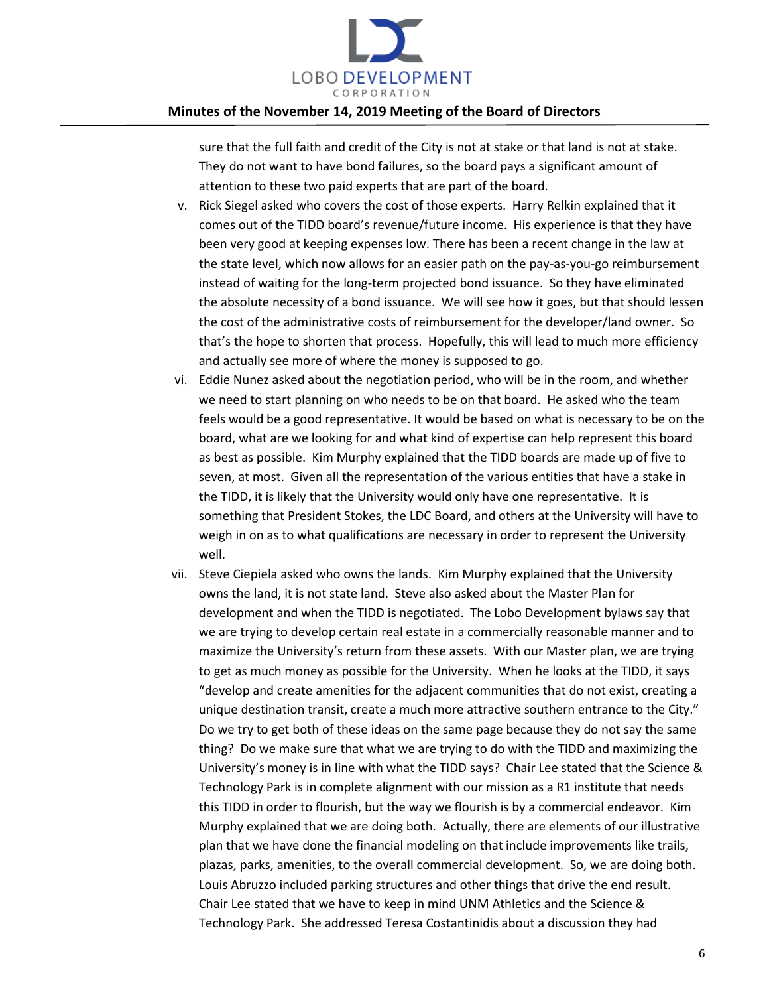

sure that the full faith and credit of the City is not at stake or that land is not at stake. They do not want to have bond failures, so the board pays a significant amount of attention to these two paid experts that are part of the board.

- v. Rick Siegel asked who covers the cost of those experts. Harry Relkin explained that it comes out of the TIDD board's revenue/future income. His experience is that they have been very good at keeping expenses low. There has been a recent change in the law at the state level, which now allows for an easier path on the pay-as-you-go reimbursement instead of waiting for the long-term projected bond issuance. So they have eliminated the absolute necessity of a bond issuance. We will see how it goes, but that should lessen the cost of the administrative costs of reimbursement for the developer/land owner. So that's the hope to shorten that process. Hopefully, this will lead to much more efficiency and actually see more of where the money is supposed to go.
- vi. Eddie Nunez asked about the negotiation period, who will be in the room, and whether we need to start planning on who needs to be on that board. He asked who the team feels would be a good representative. It would be based on what is necessary to be on the board, what are we looking for and what kind of expertise can help represent this board as best as possible. Kim Murphy explained that the TIDD boards are made up of five to seven, at most. Given all the representation of the various entities that have a stake in the TIDD, it is likely that the University would only have one representative. It is something that President Stokes, the LDC Board, and others at the University will have to weigh in on as to what qualifications are necessary in order to represent the University well.
- vii. Steve Ciepiela asked who owns the lands. Kim Murphy explained that the University owns the land, it is not state land. Steve also asked about the Master Plan for development and when the TIDD is negotiated. The Lobo Development bylaws say that we are trying to develop certain real estate in a commercially reasonable manner and to maximize the University's return from these assets. With our Master plan, we are trying to get as much money as possible for the University. When he looks at the TIDD, it says "develop and create amenities for the adjacent communities that do not exist, creating a unique destination transit, create a much more attractive southern entrance to the City." Do we try to get both of these ideas on the same page because they do not say the same thing? Do we make sure that what we are trying to do with the TIDD and maximizing the University's money is in line with what the TIDD says? Chair Lee stated that the Science & Technology Park is in complete alignment with our mission as a R1 institute that needs this TIDD in order to flourish, but the way we flourish is by a commercial endeavor. Kim Murphy explained that we are doing both. Actually, there are elements of our illustrative plan that we have done the financial modeling on that include improvements like trails, plazas, parks, amenities, to the overall commercial development. So, we are doing both. Louis Abruzzo included parking structures and other things that drive the end result. Chair Lee stated that we have to keep in mind UNM Athletics and the Science & Technology Park. She addressed Teresa Costantinidis about a discussion they had